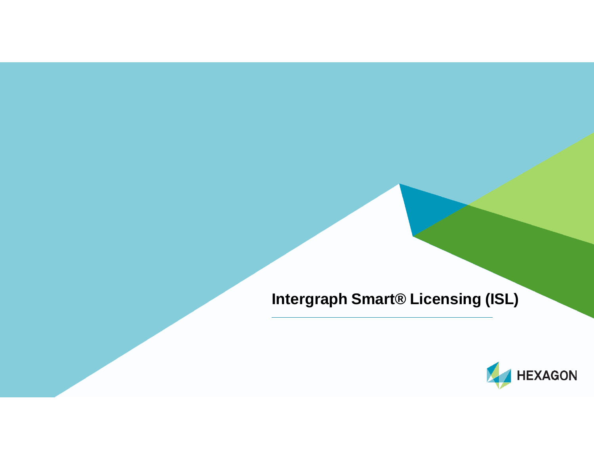**Intergraph Smart® Licensing (ISL)**

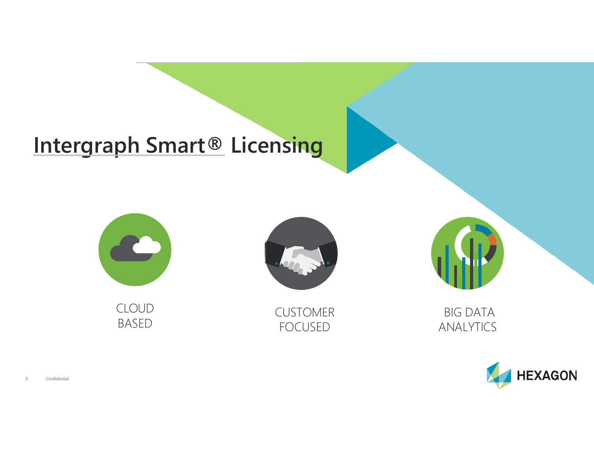# **Intergraph Smart® Licensing**



CLOUD BASED



CUSTOMER FOCUSED



BIG DATA ANALYTICS

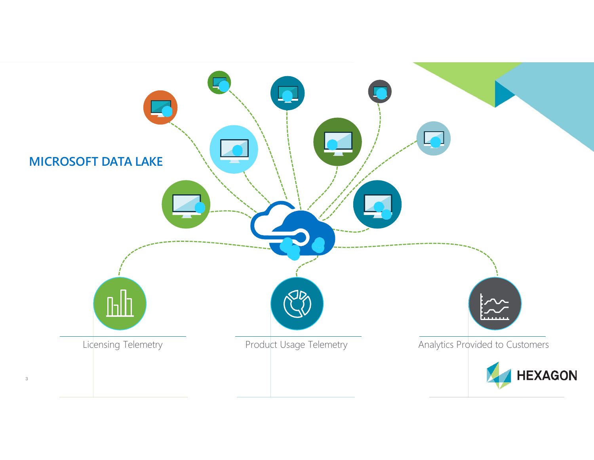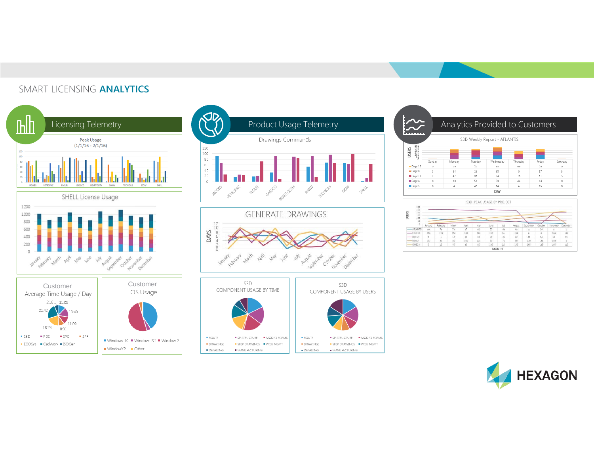#### SMART LICENSING **ANALYTICS**









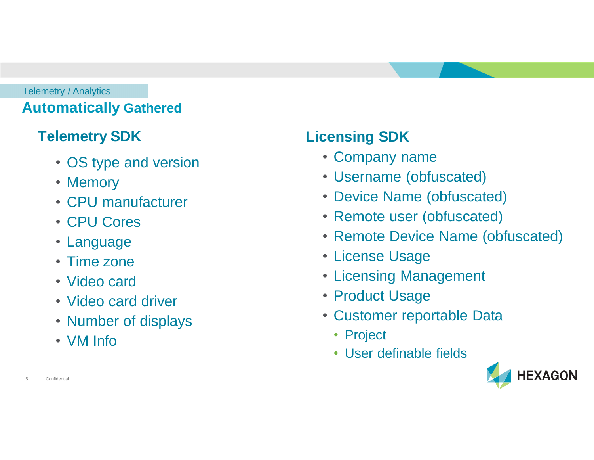#### **Automatically Gathered** Telemetry / Analytics

## **Telemetry SDK**

- OS type and version
- Memory
- CPU manufacturer
- CPU Cores
- Language
- Time zone
- Video card
- Video card driver
- Number of displays
- VM Info

# **Licensing SDK**

- Company name
- Username (obfuscated)
- Device Name (obfuscated)
- Remote user (obfuscated)
- Remote Device Name (obfuscated)
- License Usage
- Licensing Management
- Product Usage
- Customer reportable Data
	- Project
	- User definable fields



**Confidential**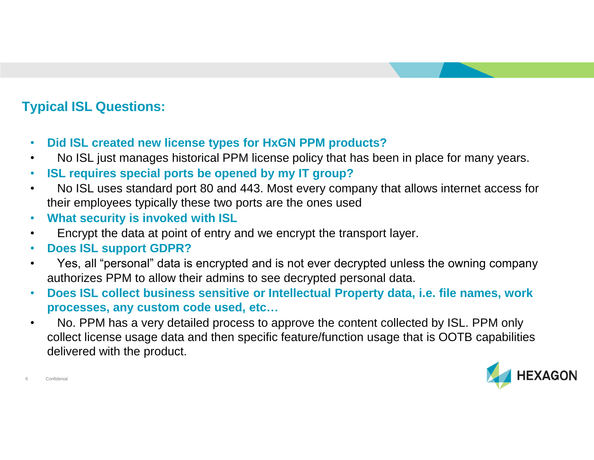### **Typical ISL Questions:**

- **Did ISL created new license types for HxGN PPM products?**
- No ISL just manages historical PPM license policy that has been in place for many years.
- **ISL requires special ports be opened by my IT group?**
- No ISL uses standard port 80 and 443. Most every company that allows internet access for their employees typically these two ports are the ones used
- **What security is invoked with ISL**
- Encrypt the data at point of entry and we encrypt the transport layer.
- **Does ISL support GDPR?**
- Yes, all "personal" data is encrypted and is not ever decrypted unless the owning company authorizes PPM to allow their admins to see decrypted personal data.
- **Does ISL collect business sensitive or Intellectual Property data, i.e. file names, work processes, any custom code used, etc…**
- No. PPM has a very detailed process to approve the content collected by ISL. PPM only collect license usage data and then specific feature/function usage that is OOTB capabilities delivered with the product.



Confidenia